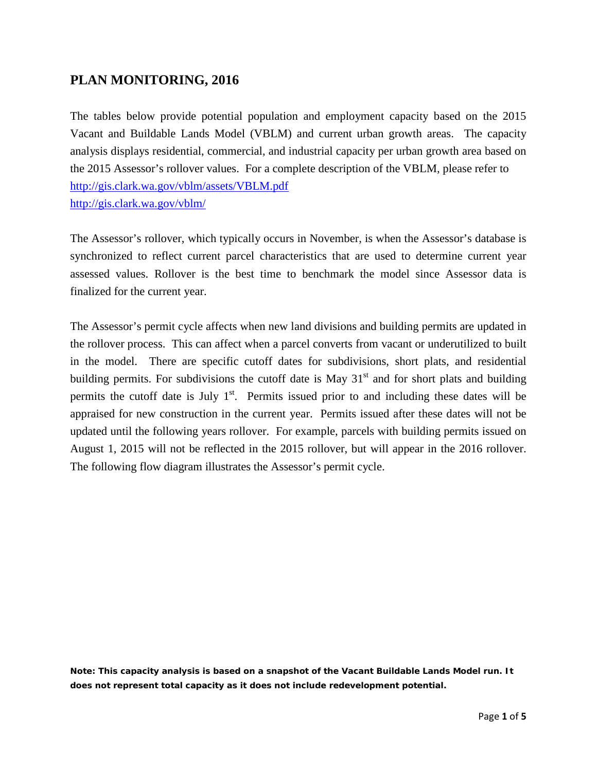## **PLAN MONITORING, 2016**

The tables below provide potential population and employment capacity based on the 2015 Vacant and Buildable Lands Model (VBLM) and current urban growth areas. The capacity analysis displays residential, commercial, and industrial capacity per urban growth area based on the 2015 Assessor's rollover values. For a complete description of the VBLM, please refer to <http://gis.clark.wa.gov/vblm/assets/VBLM.pdf> <http://gis.clark.wa.gov/vblm/>

The Assessor's rollover, which typically occurs in November, is when the Assessor's database is synchronized to reflect current parcel characteristics that are used to determine current year assessed values. Rollover is the best time to benchmark the model since Assessor data is finalized for the current year.

The Assessor's permit cycle affects when new land divisions and building permits are updated in the rollover process. This can affect when a parcel converts from vacant or underutilized to built in the model. There are specific cutoff dates for subdivisions, short plats, and residential building permits. For subdivisions the cutoff date is May  $31<sup>st</sup>$  and for short plats and building permits the cutoff date is July  $1<sup>st</sup>$ . Permits issued prior to and including these dates will be appraised for new construction in the current year. Permits issued after these dates will not be updated until the following years rollover. For example, parcels with building permits issued on August 1, 2015 will not be reflected in the 2015 rollover, but will appear in the 2016 rollover. The following flow diagram illustrates the Assessor's permit cycle.

**Note: This capacity analysis is based on a snapshot of the Vacant Buildable Lands Model run. It does not represent total capacity as it does not include redevelopment potential.**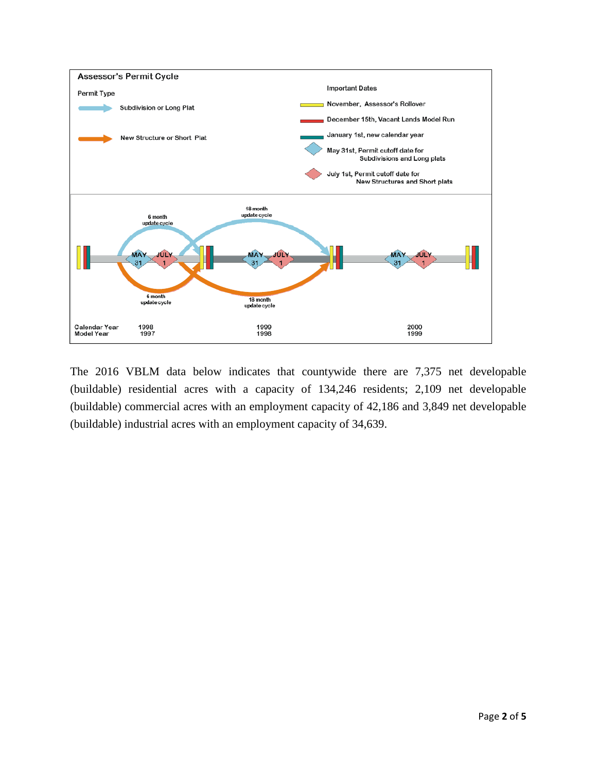

The 2016 VBLM data below indicates that countywide there are 7,375 net developable (buildable) residential acres with a capacity of 134,246 residents; 2,109 net developable (buildable) commercial acres with an employment capacity of 42,186 and 3,849 net developable (buildable) industrial acres with an employment capacity of 34,639.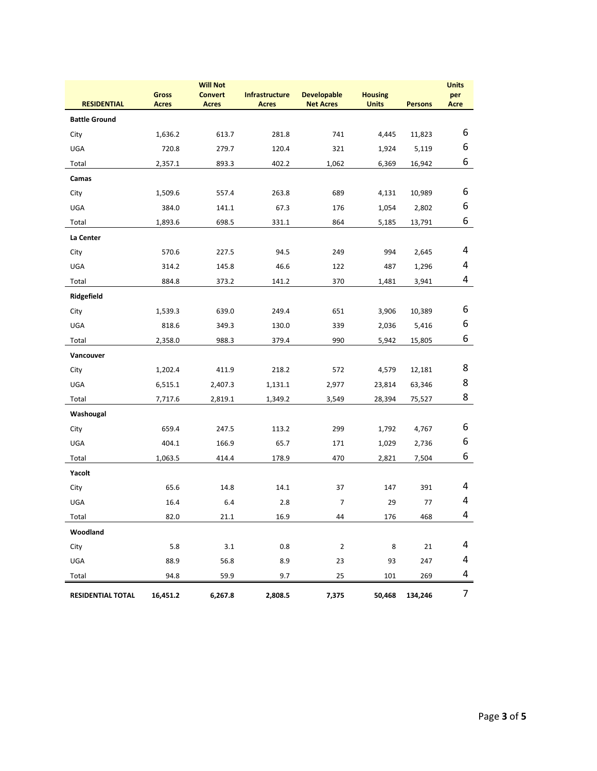|                      | <b>Will Not</b>              |                                |                                       |                                        |                                |                | <b>Units</b>       |
|----------------------|------------------------------|--------------------------------|---------------------------------------|----------------------------------------|--------------------------------|----------------|--------------------|
| <b>RESIDENTIAL</b>   | <b>Gross</b><br><b>Acres</b> | <b>Convert</b><br><b>Acres</b> | <b>Infrastructure</b><br><b>Acres</b> | <b>Developable</b><br><b>Net Acres</b> | <b>Housing</b><br><b>Units</b> | <b>Persons</b> | per<br><b>Acre</b> |
| <b>Battle Ground</b> |                              |                                |                                       |                                        |                                |                |                    |
| City                 | 1,636.2                      | 613.7                          | 281.8                                 | 741                                    | 4,445                          | 11,823         | 6                  |
| UGA                  | 720.8                        | 279.7                          | 120.4                                 | 321                                    | 1,924                          | 5,119          | 6                  |
| Total                | 2,357.1                      | 893.3                          | 402.2                                 | 1,062                                  | 6,369                          | 16,942         | 6                  |
| Camas                |                              |                                |                                       |                                        |                                |                |                    |
| City                 | 1,509.6                      | 557.4                          | 263.8                                 | 689                                    | 4,131                          | 10,989         | 6                  |
| UGA                  | 384.0                        | 141.1                          | 67.3                                  | 176                                    | 1,054                          | 2,802          | 6                  |
| Total                | 1,893.6                      | 698.5                          | 331.1                                 | 864                                    | 5,185                          | 13,791         | 6                  |
| La Center            |                              |                                |                                       |                                        |                                |                |                    |
| City                 | 570.6                        | 227.5                          | 94.5                                  | 249                                    | 994                            | 2,645          | 4                  |
| <b>UGA</b>           | 314.2                        | 145.8                          | 46.6                                  | 122                                    | 487                            | 1,296          | 4                  |
| Total                | 884.8                        | 373.2                          | 141.2                                 | 370                                    | 1,481                          | 3,941          | 4                  |
| Ridgefield           |                              |                                |                                       |                                        |                                |                |                    |
| City                 | 1,539.3                      | 639.0                          | 249.4                                 | 651                                    | 3,906                          | 10,389         | 6                  |
| UGA                  | 818.6                        | 349.3                          | 130.0                                 | 339                                    | 2,036                          | 5,416          | 6                  |
| Total                | 2,358.0                      | 988.3                          | 379.4                                 | 990                                    | 5,942                          | 15,805         | 6                  |
| Vancouver            |                              |                                |                                       |                                        |                                |                |                    |
| City                 | 1,202.4                      | 411.9                          | 218.2                                 | 572                                    | 4,579                          | 12,181         | 8                  |
| UGA                  | 6,515.1                      | 2,407.3                        | 1,131.1                               | 2,977                                  | 23,814                         | 63,346         | 8                  |
| Total                | 7,717.6                      | 2,819.1                        | 1,349.2                               | 3,549                                  | 28,394                         | 75,527         | 8                  |
| Washougal            |                              |                                |                                       |                                        |                                |                |                    |
| City                 | 659.4                        | 247.5                          | 113.2                                 | 299                                    | 1,792                          | 4,767          | 6                  |
| UGA                  | 404.1                        | 166.9                          | 65.7                                  | 171                                    | 1,029                          | 2,736          | 6                  |
| Total                | 1,063.5                      | 414.4                          | 178.9                                 | 470                                    | 2,821                          | 7,504          | 6                  |
| Yacolt               |                              |                                |                                       |                                        |                                |                |                    |
| City                 | 65.6                         | 14.8                           | 14.1                                  | 37                                     | 147                            | 391            | 4                  |
| UGA                  | 16.4                         | 6.4                            | 2.8                                   | $\overline{7}$                         | 29                             | 77             | 4                  |
| Total                | 82.0                         | 21.1                           | 16.9                                  | 44                                     | 176                            | 468            | 4                  |
| Woodland             |                              |                                |                                       |                                        |                                |                |                    |
| City                 | 5.8                          | $3.1\,$                        | 0.8                                   | $\overline{2}$                         | 8                              | 21             | 4                  |
| UGA                  | 88.9                         | 56.8                           | 8.9                                   | 23                                     | 93                             | 247            | 4                  |
| Total                | 94.8                         | 59.9                           | 9.7                                   | 25                                     | 101                            | 269            | 4                  |
| RESIDENTIAL TOTAL    | 16,451.2                     | 6,267.8                        | 2,808.5                               | 7,375                                  | 50,468                         | 134,246        | 7                  |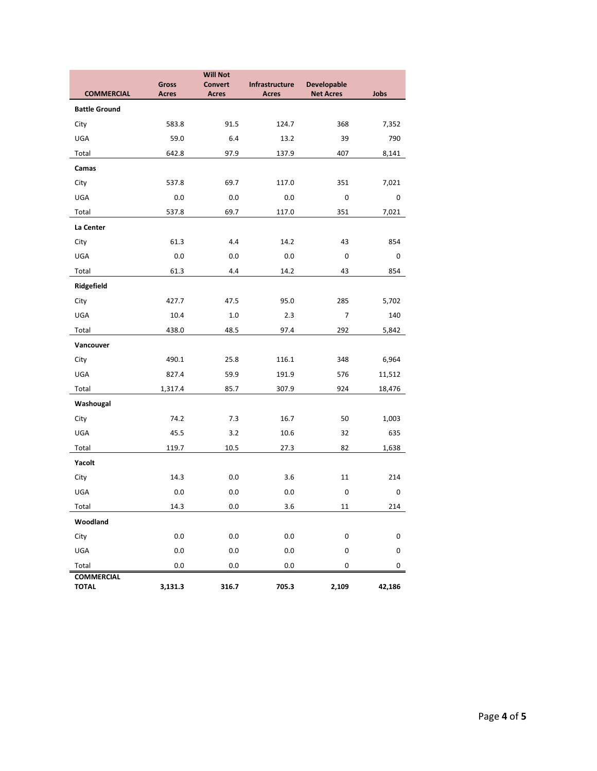|                                   |                       | <b>Will Not</b>                |                                |                                        |        |
|-----------------------------------|-----------------------|--------------------------------|--------------------------------|----------------------------------------|--------|
| <b>COMMERCIAL</b>                 | Gross<br><b>Acres</b> | <b>Convert</b><br><b>Acres</b> | Infrastructure<br><b>Acres</b> | <b>Developable</b><br><b>Net Acres</b> | Jobs   |
| <b>Battle Ground</b>              |                       |                                |                                |                                        |        |
| City                              | 583.8                 | 91.5                           | 124.7                          | 368                                    | 7,352  |
| UGA                               | 59.0                  | 6.4                            | 13.2                           | 39                                     | 790    |
| Total                             | 642.8                 | 97.9                           | 137.9                          | 407                                    | 8,141  |
| Camas                             |                       |                                |                                |                                        |        |
| City                              | 537.8                 | 69.7                           | 117.0                          | 351                                    | 7,021  |
| UGA                               | 0.0                   | 0.0                            | 0.0                            | 0                                      | 0      |
| Total                             | 537.8                 | 69.7                           | 117.0                          | 351                                    | 7,021  |
| La Center                         |                       |                                |                                |                                        |        |
| City                              | 61.3                  | 4.4                            | 14.2                           | 43                                     | 854    |
| UGA                               | 0.0                   | 0.0                            | 0.0                            | 0                                      | 0      |
| Total                             | 61.3                  | 4.4                            | 14.2                           | 43                                     | 854    |
| Ridgefield                        |                       |                                |                                |                                        |        |
| City                              | 427.7                 | 47.5                           | 95.0                           | 285                                    | 5,702  |
| UGA                               | 10.4                  | 1.0                            | 2.3                            | 7                                      | 140    |
| Total                             | 438.0                 | 48.5                           | 97.4                           | 292                                    | 5,842  |
| Vancouver                         |                       |                                |                                |                                        |        |
| City                              | 490.1                 | 25.8                           | 116.1                          | 348                                    | 6,964  |
| UGA                               | 827.4                 | 59.9                           | 191.9                          | 576                                    | 11,512 |
| Total                             | 1,317.4               | 85.7                           | 307.9                          | 924                                    | 18,476 |
| Washougal                         |                       |                                |                                |                                        |        |
| City                              | 74.2                  | 7.3                            | 16.7                           | 50                                     | 1,003  |
| UGA                               | 45.5                  | 3.2                            | 10.6                           | 32                                     | 635    |
| Total                             | 119.7                 | 10.5                           | 27.3                           | 82                                     | 1,638  |
| Yacolt                            |                       |                                |                                |                                        |        |
| City                              | 14.3                  | 0.0                            | 3.6                            | 11                                     | 214    |
| UGA                               | 0.0                   | 0.0                            | 0.0                            | 0                                      | 0      |
| Total                             | 14.3                  | 0.0                            | 3.6                            | 11                                     | 214    |
| Woodland                          |                       |                                |                                |                                        |        |
| City                              | 0.0                   | $0.0\,$                        | $0.0\,$                        | 0                                      | 0      |
| <b>UGA</b>                        | $0.0\,$               | 0.0                            | 0.0                            | $\pmb{0}$                              | 0      |
| Total                             | 0.0                   | 0.0                            | 0.0                            | 0                                      | 0      |
| <b>COMMERCIAL</b><br><b>TOTAL</b> | 3,131.3               | 316.7                          | 705.3                          | 2,109                                  | 42,186 |